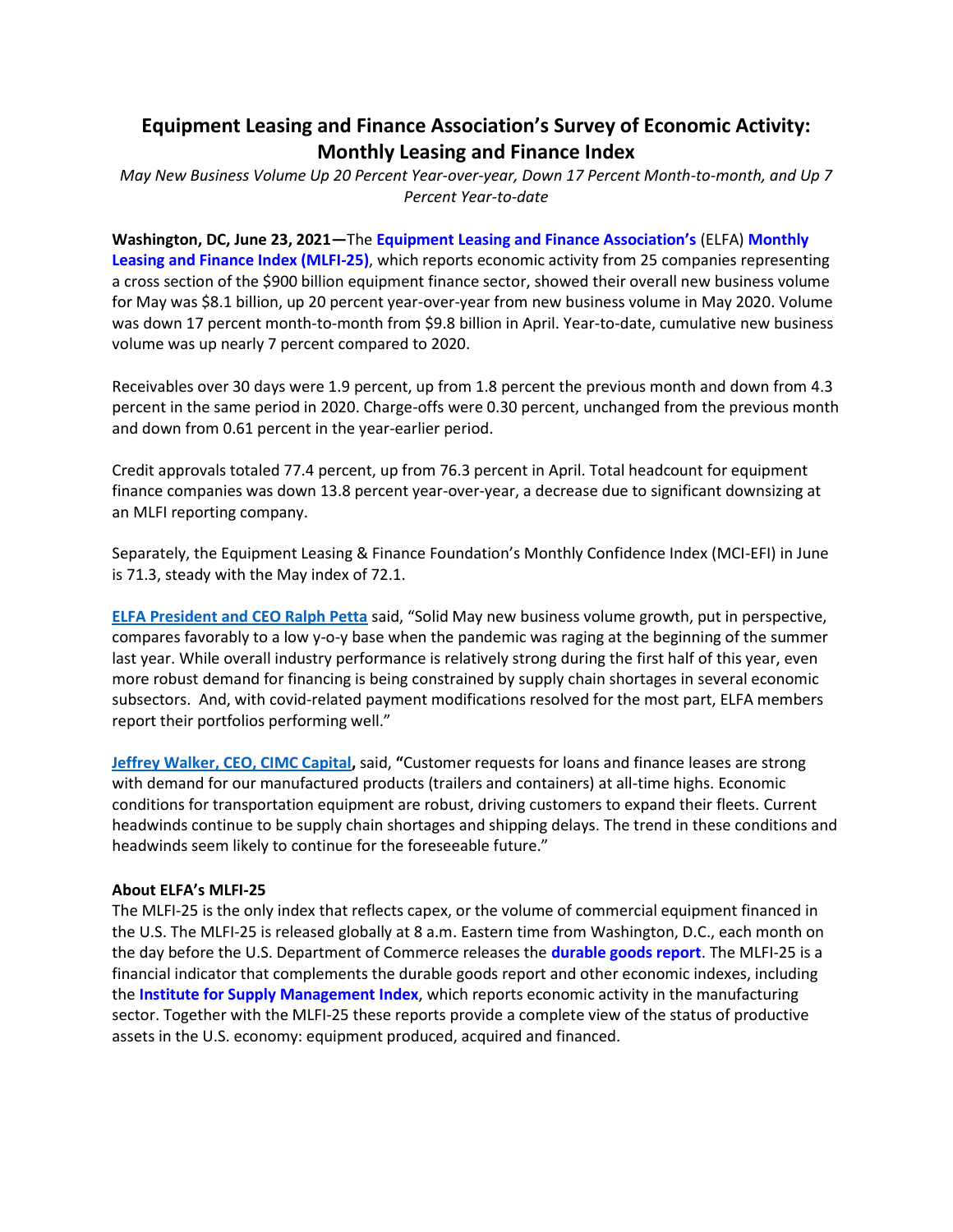## **Equipment Leasing and Finance Association's Survey of Economic Activity: Monthly Leasing and Finance Index**

*May New Business Volume Up 20 Percent Year-over-year, Down 17 Percent Month-to-month, and Up 7 Percent Year-to-date*

**Washington, DC, June 23, 2021—**The **[Equipment Leasing and Finance Association's](http://www.elfaonline.org/)** (ELFA) **[Monthly](http://www.elfaonline.org/Data/MLFI/)  [Leasing and Finance Index \(MLFI-25\)](http://www.elfaonline.org/Data/MLFI/)**, which reports economic activity from 25 companies representing a cross section of the \$900 billion equipment finance sector, showed their overall new business volume for May was \$8.1 billion, up 20 percent year-over-year from new business volume in May 2020. Volume was down 17 percent month-to-month from \$9.8 billion in April. Year-to-date, cumulative new business volume was up nearly 7 percent compared to 2020.

Receivables over 30 days were 1.9 percent, up from 1.8 percent the previous month and down from 4.3 percent in the same period in 2020. Charge-offs were 0.30 percent, unchanged from the previous month and down from 0.61 percent in the year-earlier period.

Credit approvals totaled 77.4 percent, up from 76.3 percent in April. Total headcount for equipment finance companies was down 13.8 percent year-over-year, a decrease due to significant downsizing at an MLFI reporting company.

Separately, the Equipment Leasing & Finance Foundation's Monthly Confidence Index (MCI-EFI) in June is 71.3, steady with the May index of 72.1.

**[ELFA President and CEO Ralph Petta](http://www.elfaonline.org/about/staff-contact-info/view-executive-staff-bios)** said, "Solid May new business volume growth, put in perspective, compares favorably to a low y-o-y base when the pandemic was raging at the beginning of the summer last year. While overall industry performance is relatively strong during the first half of this year, even more robust demand for financing is being constrained by supply chain shortages in several economic subsectors. And, with covid-related payment modifications resolved for the most part, ELFA members report their portfolios performing well."

**[Jeffrey Walker, CEO, CIMC Capital,](http://capital.cimc.com/en/global)** said, **"**Customer requests for loans and finance leases are strong with demand for our manufactured products (trailers and containers) at all-time highs. Economic conditions for transportation equipment are robust, driving customers to expand their fleets. Current headwinds continue to be supply chain shortages and shipping delays. The trend in these conditions and headwinds seem likely to continue for the foreseeable future."

## **About ELFA's MLFI-25**

The MLFI-25 is the only index that reflects capex, or the volume of commercial equipment financed in the U.S. The MLFI-25 is released globally at 8 a.m. Eastern time from Washington, D.C., each month on the day before the U.S. Department of Commerce releases the **[durable goods report](http://www.census.gov/indicator/www/m3/)**. The MLFI-25 is a financial indicator that complements the durable goods report and other economic indexes, including the **[Institute for Supply Management Index](http://www.ism.ws/ISMReport/MfgROB.cfm)**, which reports economic activity in the manufacturing sector. Together with the MLFI-25 these reports provide a complete view of the status of productive assets in the U.S. economy: equipment produced, acquired and financed.